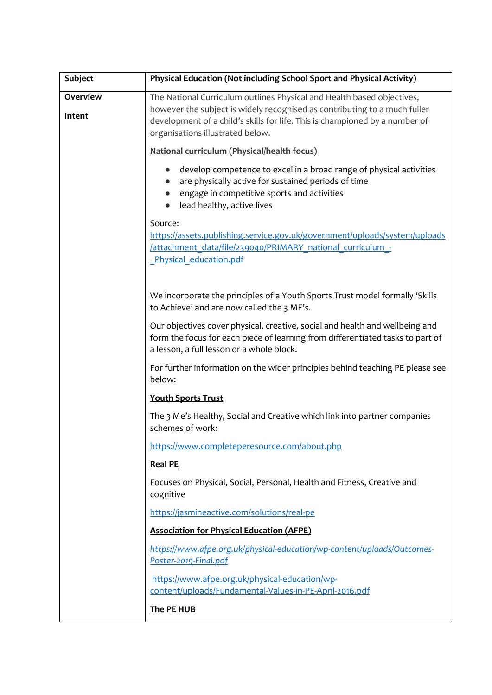| <b>Subject</b>            | Physical Education (Not including School Sport and Physical Activity)                                                                                                                                                                                                  |
|---------------------------|------------------------------------------------------------------------------------------------------------------------------------------------------------------------------------------------------------------------------------------------------------------------|
| <b>Overview</b><br>Intent | The National Curriculum outlines Physical and Health based objectives,<br>however the subject is widely recognised as contributing to a much fuller<br>development of a child's skills for life. This is championed by a number of<br>organisations illustrated below. |
|                           | National curriculum (Physical/health focus)                                                                                                                                                                                                                            |
|                           | develop competence to excel in a broad range of physical activities<br>$\bullet$<br>are physically active for sustained periods of time<br>engage in competitive sports and activities<br>lead healthy, active lives                                                   |
|                           | Source:<br>https://assets.publishing.service.gov.uk/government/uploads/system/uploads<br>/attachment_data/file/239040/PRIMARY_national_curriculum -<br>Physical education.pdf                                                                                          |
|                           | We incorporate the principles of a Youth Sports Trust model formally 'Skills<br>to Achieve' and are now called the 3 ME's.                                                                                                                                             |
|                           | Our objectives cover physical, creative, social and health and wellbeing and<br>form the focus for each piece of learning from differentiated tasks to part of<br>a lesson, a full lesson or a whole block.                                                            |
|                           | For further information on the wider principles behind teaching PE please see<br>below:                                                                                                                                                                                |
|                           | <b>Youth Sports Trust</b>                                                                                                                                                                                                                                              |
|                           | The 3 Me's Healthy, Social and Creative which link into partner companies<br>schemes of work:                                                                                                                                                                          |
|                           | https://www.completeperesource.com/about.php                                                                                                                                                                                                                           |
|                           | <b>Real PE</b>                                                                                                                                                                                                                                                         |
|                           | Focuses on Physical, Social, Personal, Health and Fitness, Creative and<br>cognitive                                                                                                                                                                                   |
|                           | https://jasmineactive.com/solutions/real-pe                                                                                                                                                                                                                            |
|                           | <b>Association for Physical Education (AFPE)</b>                                                                                                                                                                                                                       |
|                           | https://www.afpe.org.uk/physical-education/wp-content/uploads/Outcomes-<br>Poster-2019-Final.pdf                                                                                                                                                                       |
|                           | https://www.afpe.org.uk/physical-education/wp-<br>content/uploads/Fundamental-Values-in-PE-April-2016.pdf                                                                                                                                                              |
|                           | The PE HUB                                                                                                                                                                                                                                                             |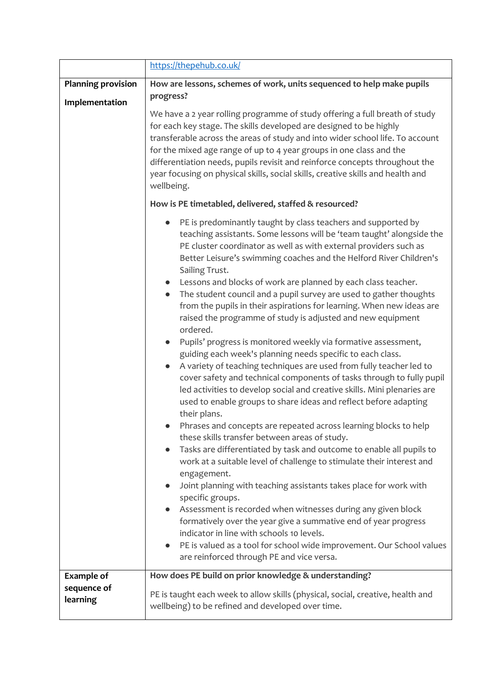|                           | https://thepehub.co.uk/                                                                                                                                                                                                                                                                                                                                                                                                                                                                                                                                                                                                                                                                                                                                                                                                                                                                                                                                                                                                                                                                                                                                                                                                                                                                                                                                                                                                                                                                                                                                                                                                                                                                                                                                                                                          |
|---------------------------|------------------------------------------------------------------------------------------------------------------------------------------------------------------------------------------------------------------------------------------------------------------------------------------------------------------------------------------------------------------------------------------------------------------------------------------------------------------------------------------------------------------------------------------------------------------------------------------------------------------------------------------------------------------------------------------------------------------------------------------------------------------------------------------------------------------------------------------------------------------------------------------------------------------------------------------------------------------------------------------------------------------------------------------------------------------------------------------------------------------------------------------------------------------------------------------------------------------------------------------------------------------------------------------------------------------------------------------------------------------------------------------------------------------------------------------------------------------------------------------------------------------------------------------------------------------------------------------------------------------------------------------------------------------------------------------------------------------------------------------------------------------------------------------------------------------|
| <b>Planning provision</b> | How are lessons, schemes of work, units sequenced to help make pupils                                                                                                                                                                                                                                                                                                                                                                                                                                                                                                                                                                                                                                                                                                                                                                                                                                                                                                                                                                                                                                                                                                                                                                                                                                                                                                                                                                                                                                                                                                                                                                                                                                                                                                                                            |
| Implementation            | progress?<br>We have a 2 year rolling programme of study offering a full breath of study<br>for each key stage. The skills developed are designed to be highly<br>transferable across the areas of study and into wider school life. To account<br>for the mixed age range of up to 4 year groups in one class and the<br>differentiation needs, pupils revisit and reinforce concepts throughout the<br>year focusing on physical skills, social skills, creative skills and health and                                                                                                                                                                                                                                                                                                                                                                                                                                                                                                                                                                                                                                                                                                                                                                                                                                                                                                                                                                                                                                                                                                                                                                                                                                                                                                                         |
|                           | wellbeing.                                                                                                                                                                                                                                                                                                                                                                                                                                                                                                                                                                                                                                                                                                                                                                                                                                                                                                                                                                                                                                                                                                                                                                                                                                                                                                                                                                                                                                                                                                                                                                                                                                                                                                                                                                                                       |
|                           | How is PE timetabled, delivered, staffed & resourced?                                                                                                                                                                                                                                                                                                                                                                                                                                                                                                                                                                                                                                                                                                                                                                                                                                                                                                                                                                                                                                                                                                                                                                                                                                                                                                                                                                                                                                                                                                                                                                                                                                                                                                                                                            |
|                           | PE is predominantly taught by class teachers and supported by<br>$\bullet$<br>teaching assistants. Some lessons will be 'team taught' alongside the<br>PE cluster coordinator as well as with external providers such as<br>Better Leisure's swimming coaches and the Helford River Children's<br>Sailing Trust.<br>Lessons and blocks of work are planned by each class teacher.<br>The student council and a pupil survey are used to gather thoughts<br>$\bullet$<br>from the pupils in their aspirations for learning. When new ideas are<br>raised the programme of study is adjusted and new equipment<br>ordered.<br>Pupils' progress is monitored weekly via formative assessment,<br>$\bullet$<br>guiding each week's planning needs specific to each class.<br>A variety of teaching techniques are used from fully teacher led to<br>$\bullet$<br>cover safety and technical components of tasks through to fully pupil<br>led activities to develop social and creative skills. Mini plenaries are<br>used to enable groups to share ideas and reflect before adapting<br>their plans.<br>Phrases and concepts are repeated across learning blocks to help<br>these skills transfer between areas of study.<br>Tasks are differentiated by task and outcome to enable all pupils to<br>$\bullet$<br>work at a suitable level of challenge to stimulate their interest and<br>engagement.<br>Joint planning with teaching assistants takes place for work with<br>specific groups.<br>Assessment is recorded when witnesses during any given block<br>formatively over the year give a summative end of year progress<br>indicator in line with schools 10 levels.<br>PE is valued as a tool for school wide improvement. Our School values<br>$\bullet$<br>are reinforced through PE and vice versa. |
| <b>Example of</b>         | How does PE build on prior knowledge & understanding?                                                                                                                                                                                                                                                                                                                                                                                                                                                                                                                                                                                                                                                                                                                                                                                                                                                                                                                                                                                                                                                                                                                                                                                                                                                                                                                                                                                                                                                                                                                                                                                                                                                                                                                                                            |
| sequence of<br>learning   | PE is taught each week to allow skills (physical, social, creative, health and<br>wellbeing) to be refined and developed over time.                                                                                                                                                                                                                                                                                                                                                                                                                                                                                                                                                                                                                                                                                                                                                                                                                                                                                                                                                                                                                                                                                                                                                                                                                                                                                                                                                                                                                                                                                                                                                                                                                                                                              |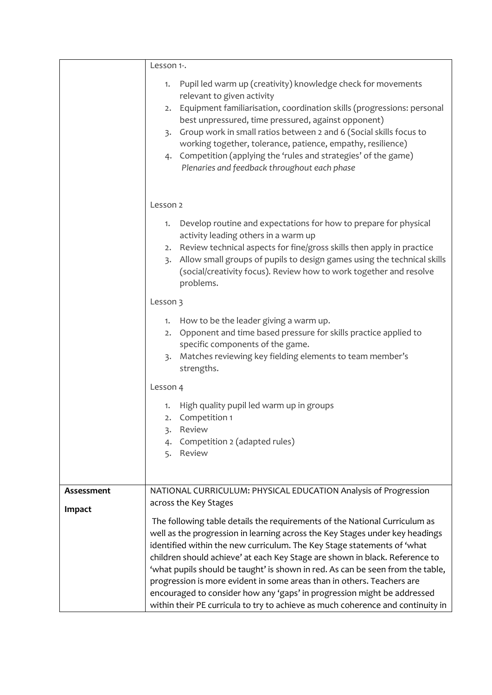|            | Lesson 1-.                                                                                                                                                                                                                                                                                                                                                                                                                                                                                                                                                                                                                                                              |
|------------|-------------------------------------------------------------------------------------------------------------------------------------------------------------------------------------------------------------------------------------------------------------------------------------------------------------------------------------------------------------------------------------------------------------------------------------------------------------------------------------------------------------------------------------------------------------------------------------------------------------------------------------------------------------------------|
|            | Pupil led warm up (creativity) knowledge check for movements<br>1.<br>relevant to given activity<br>Equipment familiarisation, coordination skills (progressions: personal<br>2.<br>best unpressured, time pressured, against opponent)<br>Group work in small ratios between 2 and 6 (Social skills focus to<br>3.<br>working together, tolerance, patience, empathy, resilience)<br>4. Competition (applying the 'rules and strategies' of the game)<br>Plenaries and feedback throughout each phase                                                                                                                                                                  |
|            | Lesson 2                                                                                                                                                                                                                                                                                                                                                                                                                                                                                                                                                                                                                                                                |
|            | Develop routine and expectations for how to prepare for physical<br>1.<br>activity leading others in a warm up<br>Review technical aspects for fine/gross skills then apply in practice<br>2.<br>Allow small groups of pupils to design games using the technical skills<br>3.<br>(social/creativity focus). Review how to work together and resolve<br>problems.                                                                                                                                                                                                                                                                                                       |
|            | Lesson 3                                                                                                                                                                                                                                                                                                                                                                                                                                                                                                                                                                                                                                                                |
|            | How to be the leader giving a warm up.<br>1.<br>Opponent and time based pressure for skills practice applied to<br>2.<br>specific components of the game.<br>Matches reviewing key fielding elements to team member's<br>3.<br>strengths.                                                                                                                                                                                                                                                                                                                                                                                                                               |
|            | Lesson 4                                                                                                                                                                                                                                                                                                                                                                                                                                                                                                                                                                                                                                                                |
|            | High quality pupil led warm up in groups<br>1.<br>Competition 1<br>2.<br>Review<br>3.<br>Competition 2 (adapted rules)<br>Review<br>5.                                                                                                                                                                                                                                                                                                                                                                                                                                                                                                                                  |
| Assessment | NATIONAL CURRICULUM: PHYSICAL EDUCATION Analysis of Progression                                                                                                                                                                                                                                                                                                                                                                                                                                                                                                                                                                                                         |
| Impact     | across the Key Stages<br>The following table details the requirements of the National Curriculum as<br>well as the progression in learning across the Key Stages under key headings<br>identified within the new curriculum. The Key Stage statements of 'what<br>children should achieve' at each Key Stage are shown in black. Reference to<br>'what pupils should be taught' is shown in red. As can be seen from the table,<br>progression is more evident in some areas than in others. Teachers are<br>encouraged to consider how any 'gaps' in progression might be addressed<br>within their PE curricula to try to achieve as much coherence and continuity in |